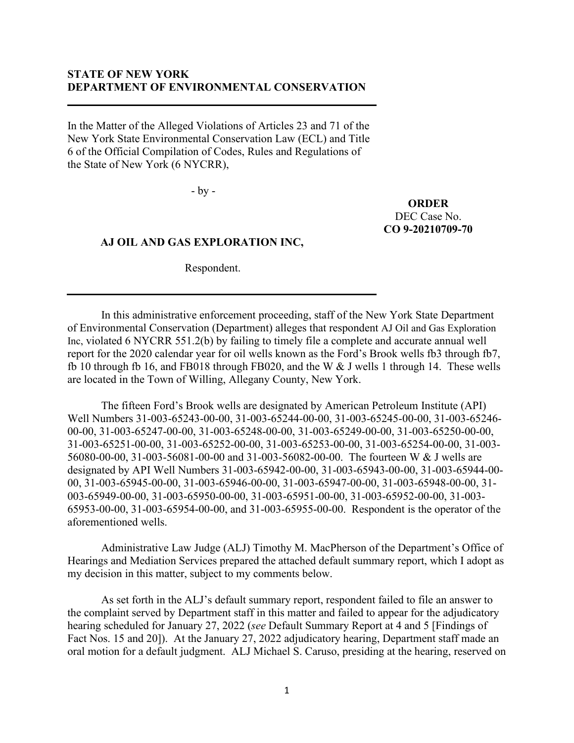# **STATE OF NEW YORK DEPARTMENT OF ENVIRONMENTAL CONSERVATION**

In the Matter of the Alleged Violations of Articles 23 and 71 of the New York State Environmental Conservation Law (ECL) and Title 6 of the Official Compilation of Codes, Rules and Regulations of the State of New York (6 NYCRR),

- by -

**ORDER** DEC Case No. **CO 9-20210709-70**

#### **AJ OIL AND GAS EXPLORATION INC,**

Respondent.

In this administrative enforcement proceeding, staff of the New York State Department of Environmental Conservation (Department) alleges that respondent AJ Oil and Gas Exploration Inc, violated 6 NYCRR 551.2(b) by failing to timely file a complete and accurate annual well report for the 2020 calendar year for oil wells known as the Ford's Brook wells fb3 through fb7, fb 10 through fb 16, and FB018 through FB020, and the W & J wells 1 through 14. These wells are located in the Town of Willing, Allegany County, New York.

The fifteen Ford's Brook wells are designated by American Petroleum Institute (API) Well Numbers 31-003-65243-00-00, 31-003-65244-00-00, 31-003-65245-00-00, 31-003-65246- 00-00, 31-003-65247-00-00, 31-003-65248-00-00, 31-003-65249-00-00, 31-003-65250-00-00, 31-003-65251-00-00, 31-003-65252-00-00, 31-003-65253-00-00, 31-003-65254-00-00, 31-003- 56080-00-00, 31-003-56081-00-00 and 31-003-56082-00-00. The fourteen W & J wells are designated by API Well Numbers 31-003-65942-00-00, 31-003-65943-00-00, 31-003-65944-00- 00, 31-003-65945-00-00, 31-003-65946-00-00, 31-003-65947-00-00, 31-003-65948-00-00, 31- 003-65949-00-00, 31-003-65950-00-00, 31-003-65951-00-00, 31-003-65952-00-00, 31-003- 65953-00-00, 31-003-65954-00-00, and 31-003-65955-00-00. Respondent is the operator of the aforementioned wells.

Administrative Law Judge (ALJ) Timothy M. MacPherson of the Department's Office of Hearings and Mediation Services prepared the attached default summary report, which I adopt as my decision in this matter, subject to my comments below.

As set forth in the ALJ's default summary report, respondent failed to file an answer to the complaint served by Department staff in this matter and failed to appear for the adjudicatory hearing scheduled for January 27, 2022 (*see* Default Summary Report at 4 and 5 [Findings of Fact Nos. 15 and 20]). At the January 27, 2022 adjudicatory hearing, Department staff made an oral motion for a default judgment. ALJ Michael S. Caruso, presiding at the hearing, reserved on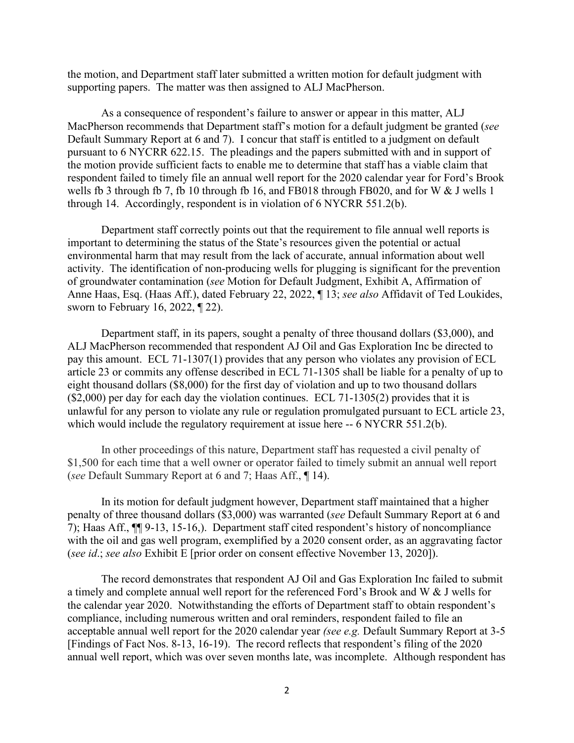the motion, and Department staff later submitted a written motion for default judgment with supporting papers. The matter was then assigned to ALJ MacPherson.

As a consequence of respondent's failure to answer or appear in this matter, ALJ MacPherson recommends that Department staff's motion for a default judgment be granted (*see* Default Summary Report at 6 and 7). I concur that staff is entitled to a judgment on default pursuant to 6 NYCRR 622.15. The pleadings and the papers submitted with and in support of the motion provide sufficient facts to enable me to determine that staff has a viable claim that respondent failed to timely file an annual well report for the 2020 calendar year for Ford's Brook wells fb 3 through fb 7, fb 10 through fb 16, and FB018 through FB020, and for W & J wells 1 through 14. Accordingly, respondent is in violation of 6 NYCRR 551.2(b).

Department staff correctly points out that the requirement to file annual well reports is important to determining the status of the State's resources given the potential or actual environmental harm that may result from the lack of accurate, annual information about well activity. The identification of non-producing wells for plugging is significant for the prevention of groundwater contamination (*see* Motion for Default Judgment, Exhibit A, Affirmation of Anne Haas, Esq. (Haas Aff.), dated February 22, 2022, ¶ 13; *see also* Affidavit of Ted Loukides, sworn to February 16, 2022, ¶ 22).

Department staff, in its papers, sought a penalty of three thousand dollars (\$3,000), and ALJ MacPherson recommended that respondent AJ Oil and Gas Exploration Inc be directed to pay this amount. ECL 71-1307(1) provides that any person who violates any provision of ECL article 23 or commits any offense described in ECL 71-1305 shall be liable for a penalty of up to eight thousand dollars (\$8,000) for the first day of violation and up to two thousand dollars (\$2,000) per day for each day the violation continues. ECL 71-1305(2) provides that it is unlawful for any person to violate any rule or regulation promulgated pursuant to ECL article 23, which would include the regulatory requirement at issue here -- 6 NYCRR 551.2(b).

In other proceedings of this nature, Department staff has requested a civil penalty of \$1,500 for each time that a well owner or operator failed to timely submit an annual well report (*see* Default Summary Report at 6 and 7; Haas Aff., ¶ 14).

In its motion for default judgment however, Department staff maintained that a higher penalty of three thousand dollars (\$3,000) was warranted (*see* Default Summary Report at 6 and 7); Haas Aff., ¶¶ 9-13, 15-16,). Department staff cited respondent's history of noncompliance with the oil and gas well program, exemplified by a 2020 consent order, as an aggravating factor (*see id*.; *see also* Exhibit E [prior order on consent effective November 13, 2020]).

The record demonstrates that respondent AJ Oil and Gas Exploration Inc failed to submit a timely and complete annual well report for the referenced Ford's Brook and W & J wells for the calendar year 2020. Notwithstanding the efforts of Department staff to obtain respondent's compliance, including numerous written and oral reminders, respondent failed to file an acceptable annual well report for the 2020 calendar year *(see e.g.* Default Summary Report at 3-5 [Findings of Fact Nos. 8-13, 16-19). The record reflects that respondent's filing of the 2020 annual well report, which was over seven months late, was incomplete. Although respondent has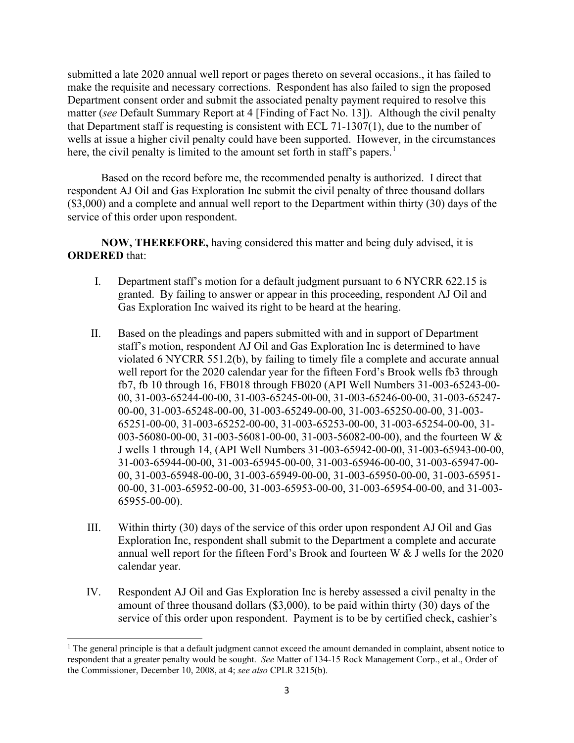submitted a late 2020 annual well report or pages thereto on several occasions., it has failed to make the requisite and necessary corrections. Respondent has also failed to sign the proposed Department consent order and submit the associated penalty payment required to resolve this matter (*see* Default Summary Report at 4 [Finding of Fact No. 13]). Although the civil penalty that Department staff is requesting is consistent with ECL 71-1307(1), due to the number of wells at issue a higher civil penalty could have been supported. However, in the circumstances here, the civil penalty is limited to the amount set forth in staff's papers.<sup>[1](#page-2-0)</sup>

Based on the record before me, the recommended penalty is authorized. I direct that respondent AJ Oil and Gas Exploration Inc submit the civil penalty of three thousand dollars (\$3,000) and a complete and annual well report to the Department within thirty (30) days of the service of this order upon respondent.

**NOW, THEREFORE,** having considered this matter and being duly advised, it is **ORDERED** that:

- I. Department staff's motion for a default judgment pursuant to 6 NYCRR 622.15 is granted. By failing to answer or appear in this proceeding, respondent AJ Oil and Gas Exploration Inc waived its right to be heard at the hearing.
- II. Based on the pleadings and papers submitted with and in support of Department staff's motion, respondent AJ Oil and Gas Exploration Inc is determined to have violated 6 NYCRR 551.2(b), by failing to timely file a complete and accurate annual well report for the 2020 calendar year for the fifteen Ford's Brook wells fb3 through fb7, fb 10 through 16, FB018 through FB020 (API Well Numbers 31-003-65243-00- 00, 31-003-65244-00-00, 31-003-65245-00-00, 31-003-65246-00-00, 31-003-65247- 00-00, 31-003-65248-00-00, 31-003-65249-00-00, 31-003-65250-00-00, 31-003- 65251-00-00, 31-003-65252-00-00, 31-003-65253-00-00, 31-003-65254-00-00, 31- 003-56080-00-00, 31-003-56081-00-00, 31-003-56082-00-00), and the fourteen W & J wells 1 through 14, (API Well Numbers 31-003-65942-00-00, 31-003-65943-00-00, 31-003-65944-00-00, 31-003-65945-00-00, 31-003-65946-00-00, 31-003-65947-00- 00, 31-003-65948-00-00, 31-003-65949-00-00, 31-003-65950-00-00, 31-003-65951- 00-00, 31-003-65952-00-00, 31-003-65953-00-00, 31-003-65954-00-00, and 31-003- 65955-00-00).
- III. Within thirty (30) days of the service of this order upon respondent AJ Oil and Gas Exploration Inc, respondent shall submit to the Department a complete and accurate annual well report for the fifteen Ford's Brook and fourteen W & J wells for the 2020 calendar year.
- IV. Respondent AJ Oil and Gas Exploration Inc is hereby assessed a civil penalty in the amount of three thousand dollars (\$3,000), to be paid within thirty (30) days of the service of this order upon respondent. Payment is to be by certified check, cashier's

<span id="page-2-0"></span> $1$  The general principle is that a default judgment cannot exceed the amount demanded in complaint, absent notice to respondent that a greater penalty would be sought. *See* Matter of 134-15 Rock Management Corp., et al., Order of the Commissioner, December 10, 2008, at 4; *see also* CPLR 3215(b).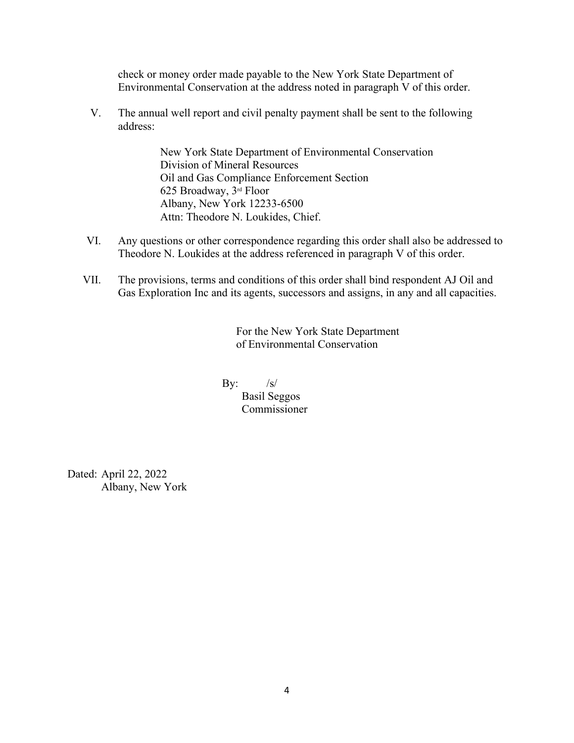check or money order made payable to the New York State Department of Environmental Conservation at the address noted in paragraph V of this order.

V. The annual well report and civil penalty payment shall be sent to the following address:

> New York State Department of Environmental Conservation Division of Mineral Resources Oil and Gas Compliance Enforcement Section 625 Broadway, 3rd Floor Albany, New York 12233-6500 Attn: Theodore N. Loukides, Chief.

- VI. Any questions or other correspondence regarding this order shall also be addressed to Theodore N. Loukides at the address referenced in paragraph V of this order.
- VII. The provisions, terms and conditions of this order shall bind respondent AJ Oil and Gas Exploration Inc and its agents, successors and assigns, in any and all capacities.

For the New York State Department of Environmental Conservation

By:  $/s/$ 

 Basil Seggos Commissioner

Dated: April 22, 2022 Albany, New York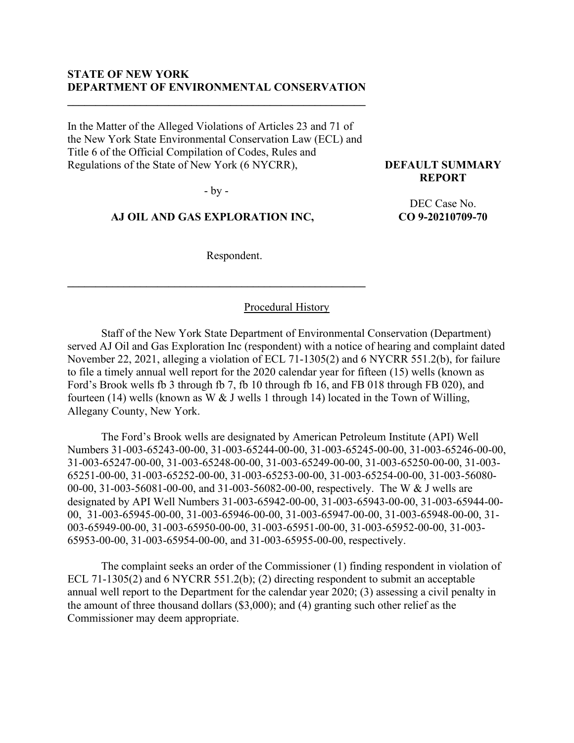## **STATE OF NEW YORK DEPARTMENT OF ENVIRONMENTAL CONSERVATION**

**\_\_\_\_\_\_\_\_\_\_\_\_\_\_\_\_\_\_\_\_\_\_\_\_\_\_\_\_\_\_\_\_\_\_\_\_\_\_\_\_\_\_\_\_\_\_\_\_\_\_\_\_\_**

In the Matter of the Alleged Violations of Articles 23 and 71 of the New York State Environmental Conservation Law (ECL) and Title 6 of the Official Compilation of Codes, Rules and Regulations of the State of New York (6 NYCRR),

- by -

#### **AJ OIL AND GAS EXPLORATION INC,**

**\_\_\_\_\_\_\_\_\_\_\_\_\_\_\_\_\_\_\_\_\_\_\_\_\_\_\_\_\_\_\_\_\_\_\_\_\_\_\_\_\_\_\_\_\_\_\_\_\_\_\_\_\_**

Respondent.

Procedural History

Staff of the New York State Department of Environmental Conservation (Department) served AJ Oil and Gas Exploration Inc (respondent) with a notice of hearing and complaint dated November 22, 2021, alleging a violation of ECL 71-1305(2) and 6 NYCRR 551.2(b), for failure to file a timely annual well report for the 2020 calendar year for fifteen (15) wells (known as Ford's Brook wells fb 3 through fb 7, fb 10 through fb 16, and FB 018 through FB 020), and fourteen (14) wells (known as W & J wells 1 through 14) located in the Town of Willing, Allegany County, New York.

The Ford's Brook wells are designated by American Petroleum Institute (API) Well Numbers 31-003-65243-00-00, 31-003-65244-00-00, 31-003-65245-00-00, 31-003-65246-00-00, 31-003-65247-00-00, 31-003-65248-00-00, 31-003-65249-00-00, 31-003-65250-00-00, 31-003- 65251-00-00, 31-003-65252-00-00, 31-003-65253-00-00, 31-003-65254-00-00, 31-003-56080- 00-00, 31-003-56081-00-00, and 31-003-56082-00-00, respectively. The W & J wells are designated by API Well Numbers 31-003-65942-00-00, 31-003-65943-00-00, 31-003-65944-00- 00, 31-003-65945-00-00, 31-003-65946-00-00, 31-003-65947-00-00, 31-003-65948-00-00, 31- 003-65949-00-00, 31-003-65950-00-00, 31-003-65951-00-00, 31-003-65952-00-00, 31-003- 65953-00-00, 31-003-65954-00-00, and 31-003-65955-00-00, respectively.

The complaint seeks an order of the Commissioner (1) finding respondent in violation of ECL 71-1305(2) and 6 NYCRR 551.2(b); (2) directing respondent to submit an acceptable annual well report to the Department for the calendar year 2020; (3) assessing a civil penalty in the amount of three thousand dollars (\$3,000); and (4) granting such other relief as the Commissioner may deem appropriate.

**DEFAULT SUMMARY REPORT**

> DEC Case No. **CO 9-20210709-70**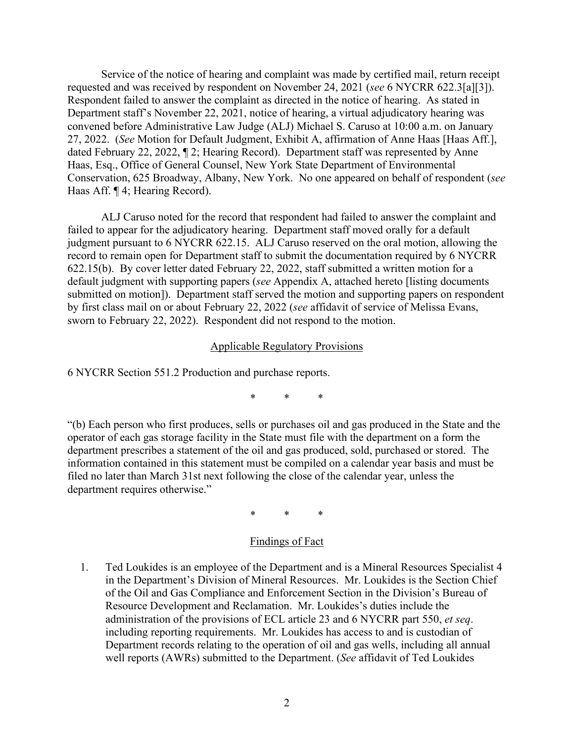Service of the notice of hearing and complaint was made by certified mail, return receipt requested and was received by respondent on November 24, 2021 (*see* 6 NYCRR 622.3[a][3]). Respondent failed to answer the complaint as directed in the notice of hearing. As stated in Department staff's November 22, 2021, notice of hearing, a virtual adjudicatory hearing was convened before Administrative Law Judge (ALJ) Michael S. Caruso at 10:00 a.m. on January 27, 2022. (*See* Motion for Default Judgment, Exhibit A, affirmation of Anne Haas [Haas Aff.], dated February 22, 2022, ¶ 2; Hearing Record). Department staff was represented by Anne Haas, Esq., Office of General Counsel, New York State Department of Environmental Conservation, 625 Broadway, Albany, New York. No one appeared on behalf of respondent (*see*  Haas Aff. ¶ 4; Hearing Record).

ALJ Caruso noted for the record that respondent had failed to answer the complaint and failed to appear for the adjudicatory hearing. Department staff moved orally for a default judgment pursuant to 6 NYCRR 622.15. ALJ Caruso reserved on the oral motion, allowing the record to remain open for Department staff to submit the documentation required by 6 NYCRR 622.15(b). By cover letter dated February 22, 2022, staff submitted a written motion for a default judgment with supporting papers (*see* Appendix A, attached hereto [listing documents submitted on motion]). Department staff served the motion and supporting papers on respondent by first class mail on or about February 22, 2022 (*see* affidavit of service of Melissa Evans, sworn to February 22, 2022). Respondent did not respond to the motion.

#### Applicable Regulatory Provisions

6 NYCRR Section 551.2 Production and purchase reports.

\* \* \*

"(b) Each person who first produces, sells or purchases oil and gas produced in the State and the operator of each gas storage facility in the State must file with the department on a form the department prescribes a statement of the oil and gas produced, sold, purchased or stored. The information contained in this statement must be compiled on a calendar year basis and must be filed no later than March 31st next following the close of the calendar year, unless the department requires otherwise."

\* \* \*

## Findings of Fact

1. Ted Loukides is an employee of the Department and is a Mineral Resources Specialist 4 in the Department's Division of Mineral Resources. Mr. Loukides is the Section Chief of the Oil and Gas Compliance and Enforcement Section in the Division's Bureau of Resource Development and Reclamation. Mr. Loukides's duties include the administration of the provisions of ECL article 23 and 6 NYCRR part 550, *et seq*. including reporting requirements. Mr. Loukides has access to and is custodian of Department records relating to the operation of oil and gas wells, including all annual well reports (AWRs) submitted to the Department. (*See* affidavit of Ted Loukides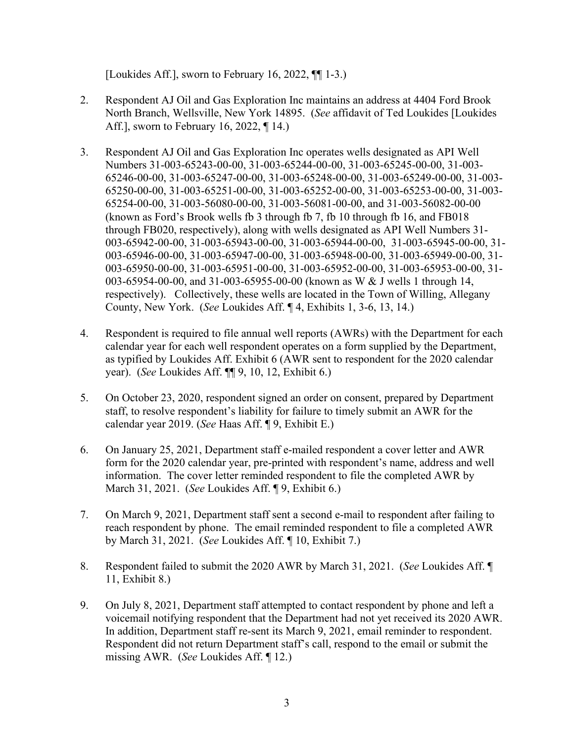[Loukides Aff.], sworn to February 16, 2022, ¶¶ 1-3.)

- 2. Respondent AJ Oil and Gas Exploration Inc maintains an address at 4404 Ford Brook North Branch, Wellsville, New York 14895. (*See* affidavit of Ted Loukides [Loukides Aff.], sworn to February 16, 2022, ¶ 14.)
- 3. Respondent AJ Oil and Gas Exploration Inc operates wells designated as API Well Numbers 31-003-65243-00-00, 31-003-65244-00-00, 31-003-65245-00-00, 31-003- 65246-00-00, 31-003-65247-00-00, 31-003-65248-00-00, 31-003-65249-00-00, 31-003- 65250-00-00, 31-003-65251-00-00, 31-003-65252-00-00, 31-003-65253-00-00, 31-003- 65254-00-00, 31-003-56080-00-00, 31-003-56081-00-00, and 31-003-56082-00-00 (known as Ford's Brook wells fb 3 through fb 7, fb 10 through fb 16, and FB018 through FB020, respectively), along with wells designated as API Well Numbers 31- 003-65942-00-00, 31-003-65943-00-00, 31-003-65944-00-00, 31-003-65945-00-00, 31- 003-65946-00-00, 31-003-65947-00-00, 31-003-65948-00-00, 31-003-65949-00-00, 31- 003-65950-00-00, 31-003-65951-00-00, 31-003-65952-00-00, 31-003-65953-00-00, 31- 003-65954-00-00, and 31-003-65955-00-00 (known as W & J wells 1 through 14, respectively). Collectively, these wells are located in the Town of Willing, Allegany County, New York. (*See* Loukides Aff. ¶ 4, Exhibits 1, 3-6, 13, 14.)
- 4. Respondent is required to file annual well reports (AWRs) with the Department for each calendar year for each well respondent operates on a form supplied by the Department, as typified by Loukides Aff. Exhibit 6 (AWR sent to respondent for the 2020 calendar year). (*See* Loukides Aff. ¶¶ 9, 10, 12, Exhibit 6.)
- 5. On October 23, 2020, respondent signed an order on consent, prepared by Department staff, to resolve respondent's liability for failure to timely submit an AWR for the calendar year 2019. (*See* Haas Aff. ¶ 9, Exhibit E.)
- 6. On January 25, 2021, Department staff e-mailed respondent a cover letter and AWR form for the 2020 calendar year, pre-printed with respondent's name, address and well information. The cover letter reminded respondent to file the completed AWR by March 31, 2021. (*See* Loukides Aff. ¶ 9, Exhibit 6.)
- 7. On March 9, 2021, Department staff sent a second e-mail to respondent after failing to reach respondent by phone. The email reminded respondent to file a completed AWR by March 31, 2021. (*See* Loukides Aff. ¶ 10, Exhibit 7.)
- 8. Respondent failed to submit the 2020 AWR by March 31, 2021. (*See* Loukides Aff. ¶ 11, Exhibit 8.)
- 9. On July 8, 2021, Department staff attempted to contact respondent by phone and left a voicemail notifying respondent that the Department had not yet received its 2020 AWR. In addition, Department staff re-sent its March 9, 2021, email reminder to respondent. Respondent did not return Department staff's call, respond to the email or submit the missing AWR. (*See* Loukides Aff. ¶ 12.)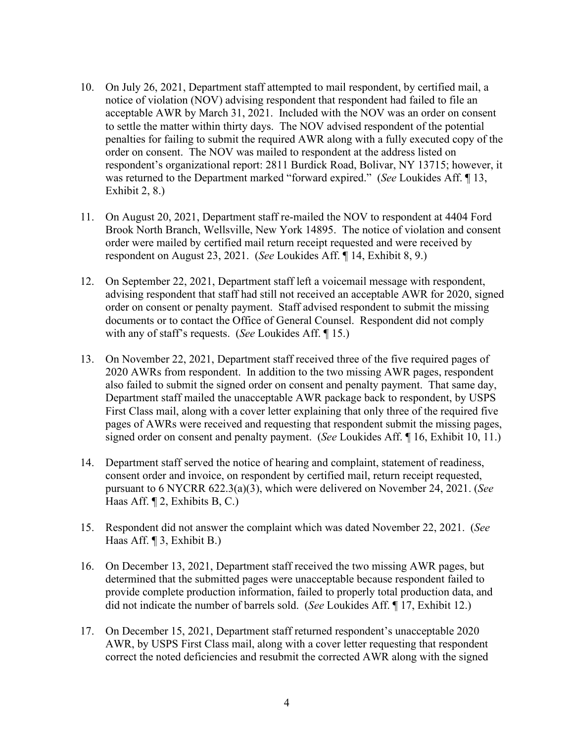- 10. On July 26, 2021, Department staff attempted to mail respondent, by certified mail, a notice of violation (NOV) advising respondent that respondent had failed to file an acceptable AWR by March 31, 2021. Included with the NOV was an order on consent to settle the matter within thirty days. The NOV advised respondent of the potential penalties for failing to submit the required AWR along with a fully executed copy of the order on consent. The NOV was mailed to respondent at the address listed on respondent's organizational report: 2811 Burdick Road, Bolivar, NY 13715; however, it was returned to the Department marked "forward expired." (*See* Loukides Aff. ¶ 13, Exhibit 2, 8.)
- 11. On August 20, 2021, Department staff re-mailed the NOV to respondent at 4404 Ford Brook North Branch, Wellsville, New York 14895. The notice of violation and consent order were mailed by certified mail return receipt requested and were received by respondent on August 23, 2021. (*See* Loukides Aff. ¶ 14, Exhibit 8, 9.)
- 12. On September 22, 2021, Department staff left a voicemail message with respondent, advising respondent that staff had still not received an acceptable AWR for 2020, signed order on consent or penalty payment. Staff advised respondent to submit the missing documents or to contact the Office of General Counsel. Respondent did not comply with any of staff's requests. (*See* Loukides Aff. ¶ 15.)
- 13. On November 22, 2021, Department staff received three of the five required pages of 2020 AWRs from respondent. In addition to the two missing AWR pages, respondent also failed to submit the signed order on consent and penalty payment. That same day, Department staff mailed the unacceptable AWR package back to respondent, by USPS First Class mail, along with a cover letter explaining that only three of the required five pages of AWRs were received and requesting that respondent submit the missing pages, signed order on consent and penalty payment. (*See* Loukides Aff. ¶ 16, Exhibit 10, 11.)
- 14. Department staff served the notice of hearing and complaint, statement of readiness, consent order and invoice, on respondent by certified mail, return receipt requested, pursuant to 6 NYCRR 622.3(a)(3), which were delivered on November 24, 2021. (*See* Haas Aff. ¶ 2, Exhibits B, C.)
- 15. Respondent did not answer the complaint which was dated November 22, 2021. (*See* Haas Aff. ¶ 3, Exhibit B.)
- 16. On December 13, 2021, Department staff received the two missing AWR pages, but determined that the submitted pages were unacceptable because respondent failed to provide complete production information, failed to properly total production data, and did not indicate the number of barrels sold. (*See* Loukides Aff. ¶ 17, Exhibit 12.)
- 17. On December 15, 2021, Department staff returned respondent's unacceptable 2020 AWR, by USPS First Class mail, along with a cover letter requesting that respondent correct the noted deficiencies and resubmit the corrected AWR along with the signed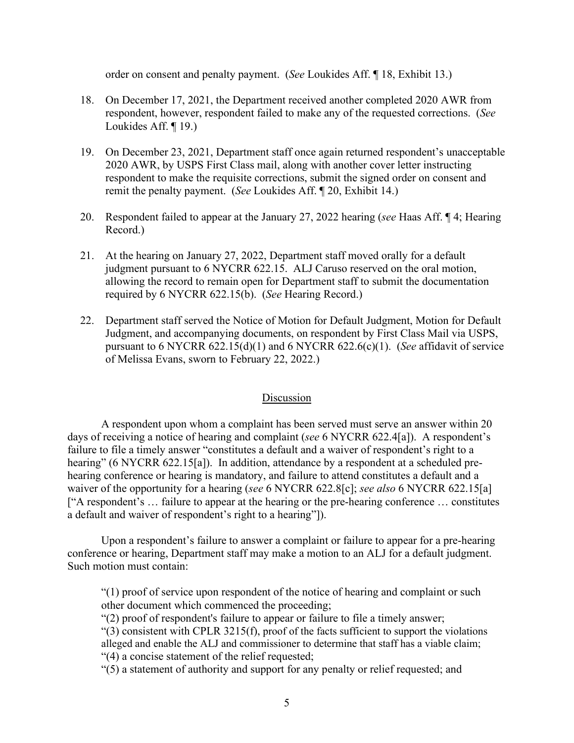order on consent and penalty payment. (*See* Loukides Aff. ¶ 18, Exhibit 13.)

- 18. On December 17, 2021, the Department received another completed 2020 AWR from respondent, however, respondent failed to make any of the requested corrections. (*See* Loukides Aff. ¶ 19.)
- 19. On December 23, 2021, Department staff once again returned respondent's unacceptable 2020 AWR, by USPS First Class mail, along with another cover letter instructing respondent to make the requisite corrections, submit the signed order on consent and remit the penalty payment. (*See* Loukides Aff. ¶ 20, Exhibit 14.)
- 20. Respondent failed to appear at the January 27, 2022 hearing (*see* Haas Aff. ¶ 4; Hearing Record.)
- 21. At the hearing on January 27, 2022, Department staff moved orally for a default judgment pursuant to 6 NYCRR 622.15. ALJ Caruso reserved on the oral motion, allowing the record to remain open for Department staff to submit the documentation required by 6 NYCRR 622.15(b). (*See* Hearing Record.)
- 22. Department staff served the Notice of Motion for Default Judgment, Motion for Default Judgment, and accompanying documents, on respondent by First Class Mail via USPS, pursuant to 6 NYCRR 622.15(d)(1) and 6 NYCRR 622.6(c)(1). (*See* affidavit of service of Melissa Evans, sworn to February 22, 2022.)

# Discussion

A respondent upon whom a complaint has been served must serve an answer within 20 days of receiving a notice of hearing and complaint (*see* 6 NYCRR 622.4[a]). A respondent's failure to file a timely answer "constitutes a default and a waiver of respondent's right to a hearing" (6 NYCRR 622.15[a]). In addition, attendance by a respondent at a scheduled prehearing conference or hearing is mandatory, and failure to attend constitutes a default and a waiver of the opportunity for a hearing (*see* 6 NYCRR 622.8[c]; *see also* 6 NYCRR 622.15[a] ["A respondent's … failure to appear at the hearing or the pre-hearing conference … constitutes a default and waiver of respondent's right to a hearing"]).

Upon a respondent's failure to answer a complaint or failure to appear for a pre-hearing conference or hearing, Department staff may make a motion to an ALJ for a default judgment. Such motion must contain:

"(1) proof of service upon respondent of the notice of hearing and complaint or such other document which commenced the proceeding;

"(2) proof of respondent's failure to appear or failure to file a timely answer;

"(3) consistent with CPLR 3215(f), proof of the facts sufficient to support the violations alleged and enable the ALJ and commissioner to determine that staff has a viable claim; "(4) a concise statement of the relief requested;

"(5) a statement of authority and support for any penalty or relief requested; and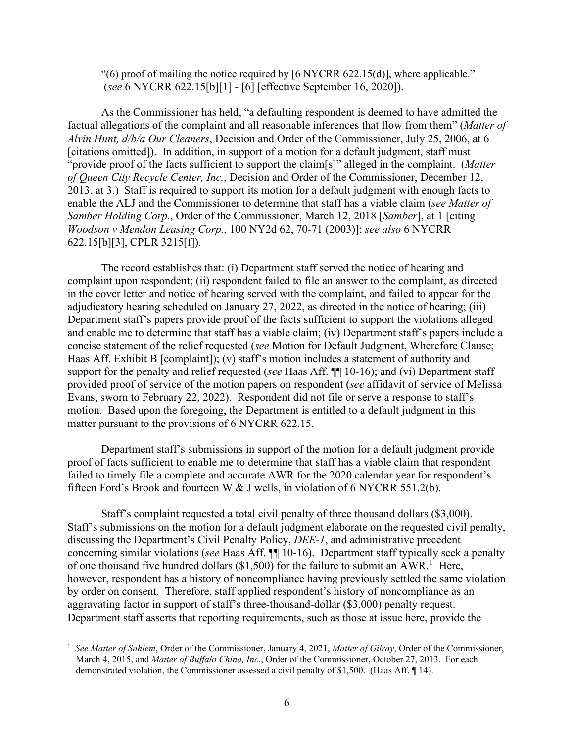"(6) proof of mailing the notice required by  $[6 \text{ NYCRR } 622.15(d)]$ , where applicable." (*see* 6 NYCRR 622.15[b][1] - [6] [effective September 16, 2020]).

As the Commissioner has held, "a defaulting respondent is deemed to have admitted the factual allegations of the complaint and all reasonable inferences that flow from them" (*Matter of Alvin Hunt, d/b/a Our Cleaners*, Decision and Order of the Commissioner, July 25, 2006, at 6 [citations omitted]). In addition, in support of a motion for a default judgment, staff must "provide proof of the facts sufficient to support the claim[s]" alleged in the complaint. (*Matter of Queen City Recycle Center, Inc.*, Decision and Order of the Commissioner, December 12, 2013, at 3.) Staff is required to support its motion for a default judgment with enough facts to enable the ALJ and the Commissioner to determine that staff has a viable claim (*see Matter of Samber Holding Corp.*, Order of the Commissioner, March 12, 2018 [*Samber*], at 1 [citing *Woodson v Mendon Leasing Corp.*, 100 NY2d 62, 70-71 (2003)]; *see also* 6 NYCRR 622.15[b][3], CPLR 3215[f]).

The record establishes that: (i) Department staff served the notice of hearing and complaint upon respondent; (ii) respondent failed to file an answer to the complaint, as directed in the cover letter and notice of hearing served with the complaint, and failed to appear for the adjudicatory hearing scheduled on January 27, 2022, as directed in the notice of hearing; (iii) Department staff's papers provide proof of the facts sufficient to support the violations alleged and enable me to determine that staff has a viable claim; (iv) Department staff's papers include a concise statement of the relief requested (*see* Motion for Default Judgment, Wherefore Clause; Haas Aff. Exhibit B [complaint]); (v) staff's motion includes a statement of authority and support for the penalty and relief requested (*see* Haas Aff. ¶¶ 10-16); and (vi) Department staff provided proof of service of the motion papers on respondent (*see* affidavit of service of Melissa Evans, sworn to February 22, 2022). Respondent did not file or serve a response to staff's motion. Based upon the foregoing, the Department is entitled to a default judgment in this matter pursuant to the provisions of 6 NYCRR 622.15.

Department staff's submissions in support of the motion for a default judgment provide proof of facts sufficient to enable me to determine that staff has a viable claim that respondent failed to timely file a complete and accurate AWR for the 2020 calendar year for respondent's fifteen Ford's Brook and fourteen W & J wells, in violation of 6 NYCRR 551.2(b).

Staff's complaint requested a total civil penalty of three thousand dollars (\$3,000). Staff's submissions on the motion for a default judgment elaborate on the requested civil penalty, discussing the Department's Civil Penalty Policy, *DEE-1*, and administrative precedent concerning similar violations (*see* Haas Aff. ¶¶ 10-16). Department staff typically seek a penalty of one thousand five hundred dollars (\$[1](#page-9-0),500) for the failure to submit an AWR.<sup>1</sup> Here, however, respondent has a history of noncompliance having previously settled the same violation by order on consent. Therefore, staff applied respondent's history of noncompliance as an aggravating factor in support of staff's three-thousand-dollar (\$3,000) penalty request. Department staff asserts that reporting requirements, such as those at issue here, provide the

<span id="page-9-0"></span><sup>1</sup> *See Matter of Sahlem*, Order of the Commissioner, January 4, 2021, *Matter of Gilray*, Order of the Commissioner, March 4, 2015, and *Matter of Buffalo China, Inc.*, Order of the Commissioner, October 27, 2013. For each demonstrated violation, the Commissioner assessed a civil penalty of \$1,500. (Haas Aff. ¶ 14).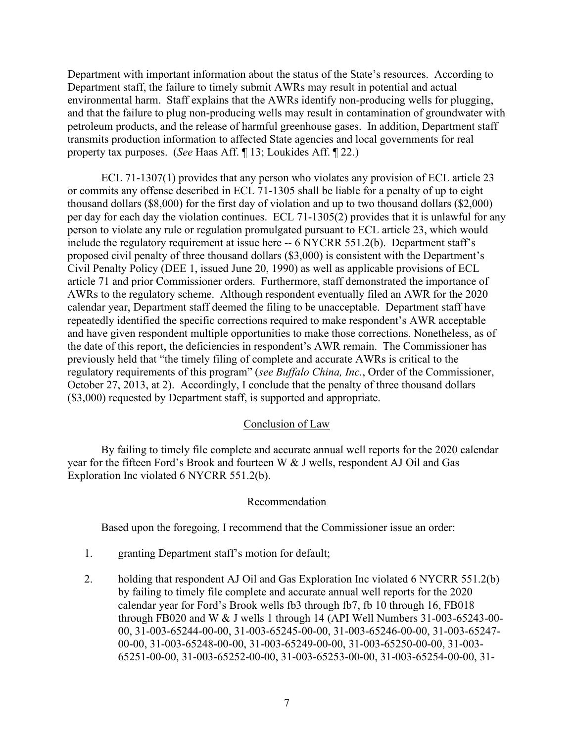Department with important information about the status of the State's resources. According to Department staff, the failure to timely submit AWRs may result in potential and actual environmental harm. Staff explains that the AWRs identify non-producing wells for plugging, and that the failure to plug non-producing wells may result in contamination of groundwater with petroleum products, and the release of harmful greenhouse gases. In addition, Department staff transmits production information to affected State agencies and local governments for real property tax purposes. (*See* Haas Aff. ¶ 13; Loukides Aff. ¶ 22.)

ECL 71-1307(1) provides that any person who violates any provision of ECL article 23 or commits any offense described in ECL 71-1305 shall be liable for a penalty of up to eight thousand dollars (\$8,000) for the first day of violation and up to two thousand dollars (\$2,000) per day for each day the violation continues. ECL 71-1305(2) provides that it is unlawful for any person to violate any rule or regulation promulgated pursuant to ECL article 23, which would include the regulatory requirement at issue here -- 6 NYCRR 551.2(b). Department staff's proposed civil penalty of three thousand dollars (\$3,000) is consistent with the Department's Civil Penalty Policy (DEE 1, issued June 20, 1990) as well as applicable provisions of ECL article 71 and prior Commissioner orders. Furthermore, staff demonstrated the importance of AWRs to the regulatory scheme. Although respondent eventually filed an AWR for the 2020 calendar year, Department staff deemed the filing to be unacceptable. Department staff have repeatedly identified the specific corrections required to make respondent's AWR acceptable and have given respondent multiple opportunities to make those corrections. Nonetheless, as of the date of this report, the deficiencies in respondent's AWR remain. The Commissioner has previously held that "the timely filing of complete and accurate AWRs is critical to the regulatory requirements of this program" (*see Buffalo China, Inc.*, Order of the Commissioner, October 27, 2013, at 2). Accordingly, I conclude that the penalty of three thousand dollars (\$3,000) requested by Department staff, is supported and appropriate.

# Conclusion of Law

By failing to timely file complete and accurate annual well reports for the 2020 calendar year for the fifteen Ford's Brook and fourteen W & J wells, respondent AJ Oil and Gas Exploration Inc violated 6 NYCRR 551.2(b).

# Recommendation

Based upon the foregoing, I recommend that the Commissioner issue an order:

- 1. granting Department staff's motion for default;
- 2. holding that respondent AJ Oil and Gas Exploration Inc violated 6 NYCRR 551.2(b) by failing to timely file complete and accurate annual well reports for the 2020 calendar year for Ford's Brook wells fb3 through fb7, fb 10 through 16, FB018 through FB020 and W & J wells 1 through 14 (API Well Numbers 31-003-65243-00- 00, 31-003-65244-00-00, 31-003-65245-00-00, 31-003-65246-00-00, 31-003-65247- 00-00, 31-003-65248-00-00, 31-003-65249-00-00, 31-003-65250-00-00, 31-003- 65251-00-00, 31-003-65252-00-00, 31-003-65253-00-00, 31-003-65254-00-00, 31-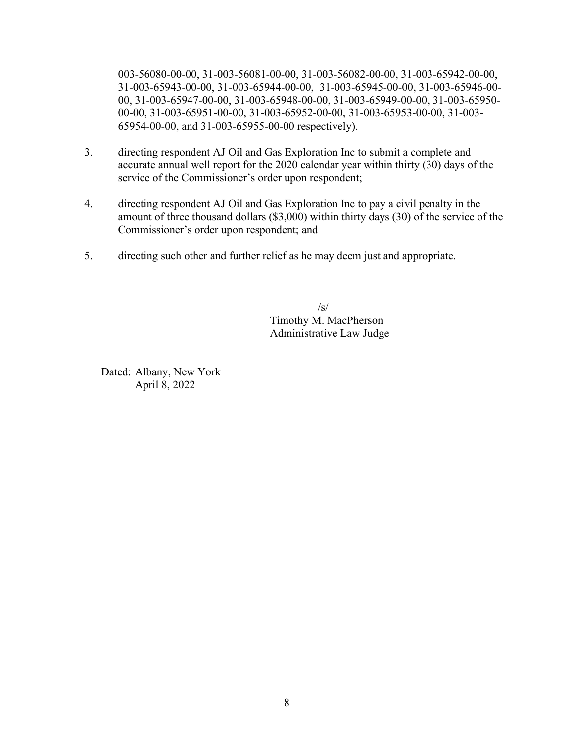003-56080-00-00, 31-003-56081-00-00, 31-003-56082-00-00, 31-003-65942-00-00, 31-003-65943-00-00, 31-003-65944-00-00, 31-003-65945-00-00, 31-003-65946-00- 00, 31-003-65947-00-00, 31-003-65948-00-00, 31-003-65949-00-00, 31-003-65950- 00-00, 31-003-65951-00-00, 31-003-65952-00-00, 31-003-65953-00-00, 31-003- 65954-00-00, and 31-003-65955-00-00 respectively).

- 3. directing respondent AJ Oil and Gas Exploration Inc to submit a complete and accurate annual well report for the 2020 calendar year within thirty (30) days of the service of the Commissioner's order upon respondent;
- 4. directing respondent AJ Oil and Gas Exploration Inc to pay a civil penalty in the amount of three thousand dollars (\$3,000) within thirty days (30) of the service of the Commissioner's order upon respondent; and
- 5. directing such other and further relief as he may deem just and appropriate.

 $/s/$ Timothy M. MacPherson Administrative Law Judge

Dated: Albany, New York April 8, 2022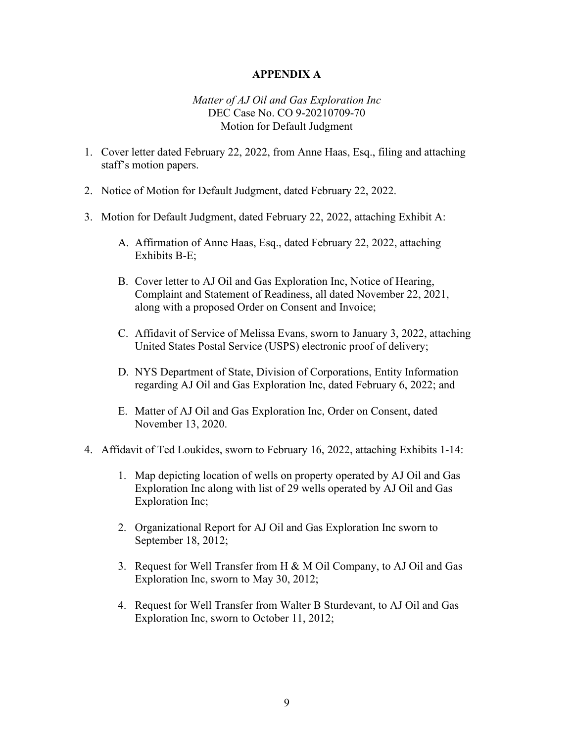# **APPENDIX A**

## *Matter of AJ Oil and Gas Exploration Inc* DEC Case No. CO 9-20210709-70 Motion for Default Judgment

- 1. Cover letter dated February 22, 2022, from Anne Haas, Esq., filing and attaching staff's motion papers.
- 2. Notice of Motion for Default Judgment, dated February 22, 2022.
- 3. Motion for Default Judgment, dated February 22, 2022, attaching Exhibit A:
	- A. Affirmation of Anne Haas, Esq., dated February 22, 2022, attaching Exhibits B-E;
	- B. Cover letter to AJ Oil and Gas Exploration Inc, Notice of Hearing, Complaint and Statement of Readiness, all dated November 22, 2021, along with a proposed Order on Consent and Invoice;
	- C. Affidavit of Service of Melissa Evans, sworn to January 3, 2022, attaching United States Postal Service (USPS) electronic proof of delivery;
	- D. NYS Department of State, Division of Corporations, Entity Information regarding AJ Oil and Gas Exploration Inc, dated February 6, 2022; and
	- E. Matter of AJ Oil and Gas Exploration Inc, Order on Consent, dated November 13, 2020.
- 4. Affidavit of Ted Loukides, sworn to February 16, 2022, attaching Exhibits 1-14:
	- 1. Map depicting location of wells on property operated by AJ Oil and Gas Exploration Inc along with list of 29 wells operated by AJ Oil and Gas Exploration Inc;
	- 2. Organizational Report for AJ Oil and Gas Exploration Inc sworn to September 18, 2012;
	- 3. Request for Well Transfer from H & M Oil Company, to AJ Oil and Gas Exploration Inc, sworn to May 30, 2012;
	- 4. Request for Well Transfer from Walter B Sturdevant, to AJ Oil and Gas Exploration Inc, sworn to October 11, 2012;